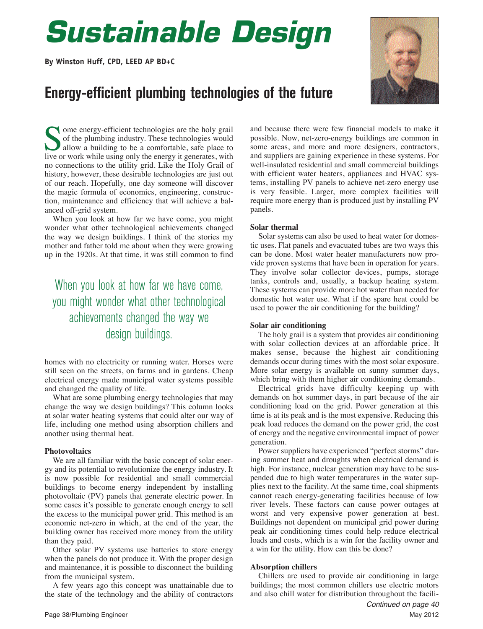# *Sustainable Design*

**By Winston Huff, CPD, LEED AP BD+C**

### **Energy-efficient plumbing technologies of the future**



ome energy-efficient technologies are the holy grail of the plumbing industry. These technologies would allow a building to be a comfortable, safe place to live or work while using only the energy it generates, with no connections to the utility grid. Like the Holy Grail of history, however, these desirable technologies are just out of our reach. Hopefully, one day someone will discover the magic formula of economics, engineering, construction, maintenance and efficiency that will achieve a balanced off-grid system.

When you look at how far we have come, you might wonder what other technological achievements changed the way we design buildings. I think of the stories my mother and father told me about when they were growing up in the 1920s. At that time, it was still common to find

### When you look at how far we have come, you might wonder what other technological achievements changed the way we design buildings.

homes with no electricity or running water. Horses were still seen on the streets, on farms and in gardens. Cheap electrical energy made municipal water systems possible and changed the quality of life.

What are some plumbing energy technologies that may change the way we design buildings? This column looks at solar water heating systems that could alter our way of life, including one method using absorption chillers and another using thermal heat.

#### **Photovoltaics**

We are all familiar with the basic concept of solar energy and its potential to revolutionize the energy industry. It is now possible for residential and small commercial buildings to become energy independent by installing photovoltaic (PV) panels that generate electric power. In some cases it's possible to generate enough energy to sell the excess to the municipal power grid. This method is an economic net-zero in which, at the end of the year, the building owner has received more money from the utility than they paid.

Other solar PV systems use batteries to store energy when the panels do not produce it. With the proper design and maintenance, it is possible to disconnect the building from the municipal system.

A few years ago this concept was unattainable due to the state of the technology and the ability of contractors

and because there were few financial models to make it possible. Now, net-zero-energy buildings are common in some areas, and more and more designers, contractors, and suppliers are gaining experience in these systems. For well-insulated residential and small commercial buildings with efficient water heaters, appliances and HVAC systems, installing PV panels to achieve net-zero energy use is very feasible. Larger, more complex facilities will require more energy than is produced just by installing PV panels.

### **Solar thermal**

Solar systems can also be used to heat water for domestic uses. Flat panels and evacuated tubes are two ways this can be done. Most water heater manufacturers now provide proven systems that have been in operation for years. They involve solar collector devices, pumps, storage tanks, controls and, usually, a backup heating system. These systems can provide more hot water than needed for domestic hot water use. What if the spare heat could be used to power the air conditioning for the building?

#### **Solar air conditioning**

The holy grail is a system that provides air conditioning with solar collection devices at an affordable price. It makes sense, because the highest air conditioning demands occur during times with the most solar exposure. More solar energy is available on sunny summer days, which bring with them higher air conditioning demands.

Electrical grids have difficulty keeping up with demands on hot summer days, in part because of the air conditioning load on the grid. Power generation at this time is at its peak and is the most expensive. Reducing this peak load reduces the demand on the power grid, the cost of energy and the negative environmental impact of power generation.

Power suppliers have experienced "perfect storms" during summer heat and droughts when electrical demand is high. For instance, nuclear generation may have to be suspended due to high water temperatures in the water supplies next to the facility. At the same time, coal shipments cannot reach energy-generating facilities because of low river levels. These factors can cause power outages at worst and very expensive power generation at best. Buildings not dependent on municipal grid power during peak air conditioning times could help reduce electrical loads and costs, which is a win for the facility owner and a win for the utility. How can this be done?

#### **Absorption chillers**

Chillers are used to provide air conditioning in large buildings; the most common chillers use electric motors and also chill water for distribution throughout the facili-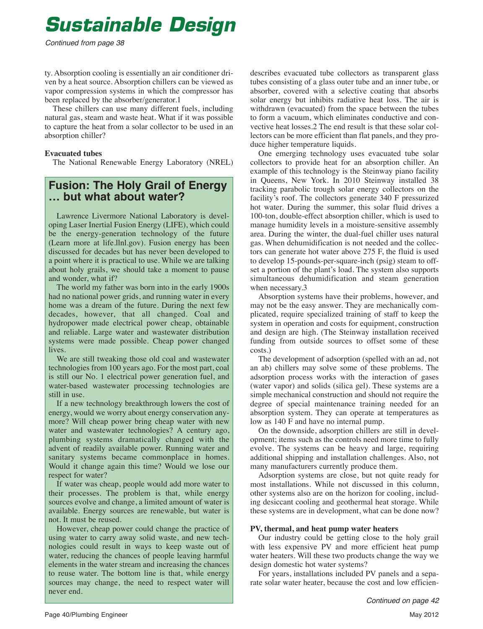## *Sustainable Design*

Continued from page 38

ty. Absorption cooling is essentially an air conditioner driven by a heat source. Absorption chillers can be viewed as vapor compression systems in which the compressor has been replaced by the absorber/generator.1

These chillers can use many different fuels, including natural gas, steam and waste heat. What if it was possible to capture the heat from a solar collector to be used in an absorption chiller?

### **Evacuated tubes**

The National Renewable Energy Laboratory (NREL)

# **Fusion: The Holy Grail of Energy … but what about water?**

Lawrence Livermore National Laboratory is developing Laser Inertial Fusion Energy (LIFE), which could be the energy-generation technology of the future (Learn more at life.llnl.gov). Fusion energy has been discussed for decades but has never been developed to a point where it is practical to use. While we are talking about holy grails, we should take a moment to pause and wonder, what if?

The world my father was born into in the early 1900s had no national power grids, and running water in every home was a dream of the future. During the next few decades, however, that all changed. Coal and hydropower made electrical power cheap, obtainable and reliable. Large water and wastewater distribution systems were made possible. Cheap power changed lives.

We are still tweaking those old coal and wastewater technologies from 100 years ago. For the most part, coal is still our No. 1 electrical power generation fuel, and water-based wastewater processing technologies are still in use.

If a new technology breakthrough lowers the cost of energy, would we worry about energy conservation anymore? Will cheap power bring cheap water with new water and wastewater technologies? A century ago, plumbing systems dramatically changed with the advent of readily available power. Running water and sanitary systems became commonplace in homes. Would it change again this time? Would we lose our respect for water?

If water was cheap, people would add more water to their processes. The problem is that, while energy sources evolve and change, a limited amount of water is available. Energy sources are renewable, but water is not. It must be reused.

However, cheap power could change the practice of using water to carry away solid waste, and new technologies could result in ways to keep waste out of water, reducing the chances of people leaving harmful elements in the water stream and increasing the chances to reuse water. The bottom line is that, while energy sources may change, the need to respect water will never end.

describes evacuated tube collectors as transparent glass tubes consisting of a glass outer tube and an inner tube, or absorber, covered with a selective coating that absorbs solar energy but inhibits radiative heat loss. The air is withdrawn (evacuated) from the space between the tubes to form a vacuum, which eliminates conductive and convective heat losses.2 The end result is that these solar collectors can be more efficient than flat panels, and they produce higher temperature liquids.

One emerging technology uses evacuated tube solar collectors to provide heat for an absorption chiller. An example of this technology is the Steinway piano facility in Queens, New York. In 2010 Steinway installed 38 tracking parabolic trough solar energy collectors on the facility's roof. The collectors generate 340 F pressurized hot water. During the summer, this solar fluid drives a 100-ton, double-effect absorption chiller, which is used to manage humidity levels in a moisture-sensitive assembly area. During the winter, the dual-fuel chiller uses natural gas. When dehumidification is not needed and the collectors can generate hot water above 275 F, the fluid is used to develop 15-pounds-per-square-inch (psig) steam to offset a portion of the plant's load. The system also supports simultaneous dehumidification and steam generation when necessary.3

Absorption systems have their problems, however, and may not be the easy answer. They are mechanically complicated, require specialized training of staff to keep the system in operation and costs for equipment, construction and design are high. (The Steinway installation received funding from outside sources to offset some of these costs.)

The development of adsorption (spelled with an ad, not an ab) chillers may solve some of these problems. The adsorption process works with the interaction of gases (water vapor) and solids (silica gel). These systems are a simple mechanical construction and should not require the degree of special maintenance training needed for an absorption system. They can operate at temperatures as low as 140 F and have no internal pump.

On the downside, adsorption chillers are still in development; items such as the controls need more time to fully evolve. The systems can be heavy and large, requiring additional shipping and installation challenges. Also, not many manufacturers currently produce them.

Adsorption systems are close, but not quite ready for most installations. While not discussed in this column, other systems also are on the horizon for cooling, including desiccant cooling and geothermal heat storage. While these systems are in development, what can be done now?

### **PV, thermal, and heat pump water heaters**

Our industry could be getting close to the holy grail with less expensive PV and more efficient heat pump water heaters. Will these two products change the way we design domestic hot water systems?

For years, installations included PV panels and a separate solar water heater, because the cost and low efficien-